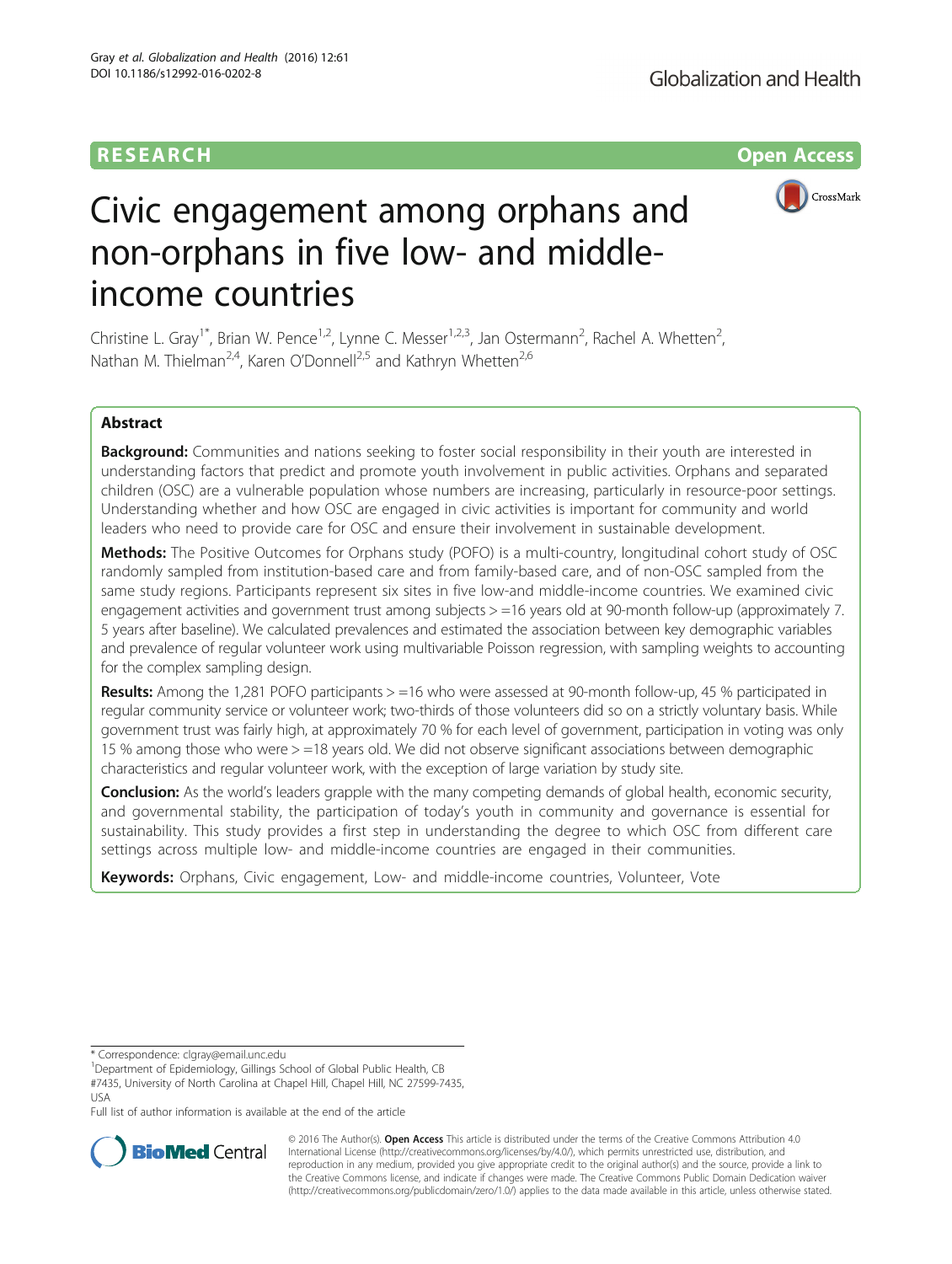# **RESEARCH CHINESE ARCH CHINESE ARCHITECT ARCHITECT ARCHITECT ARCHITECT ARCHITECT ARCHITECT ARCHITECT ARCHITECT ARCHITECT ARCHITECT ARCHITECT ARCHITECT ARCHITECT ARCHITECT ARCHITECT ARCHITECT ARCHITECT ARCHITECT ARCHITE**



# Civic engagement among orphans and non-orphans in five low- and middleincome countries

Christine L. Gray<sup>1\*</sup>, Brian W. Pence<sup>1,2</sup>, Lynne C. Messer<sup>1,2,3</sup>, Jan Ostermann<sup>2</sup>, Rachel A. Whetten<sup>2</sup> , Nathan M. Thielman<sup>2,4</sup>, Karen O'Donnell<sup>2,5</sup> and Kathryn Whetten<sup>2,6</sup>

# Abstract

Background: Communities and nations seeking to foster social responsibility in their youth are interested in understanding factors that predict and promote youth involvement in public activities. Orphans and separated children (OSC) are a vulnerable population whose numbers are increasing, particularly in resource-poor settings. Understanding whether and how OSC are engaged in civic activities is important for community and world leaders who need to provide care for OSC and ensure their involvement in sustainable development.

Methods: The Positive Outcomes for Orphans study (POFO) is a multi-country, longitudinal cohort study of OSC randomly sampled from institution-based care and from family-based care, and of non-OSC sampled from the same study regions. Participants represent six sites in five low-and middle-income countries. We examined civic engagement activities and government trust among subjects  $> =16$  years old at 90-month follow-up (approximately 7. 5 years after baseline). We calculated prevalences and estimated the association between key demographic variables and prevalence of regular volunteer work using multivariable Poisson regression, with sampling weights to accounting for the complex sampling design.

Results: Among the 1,281 POFO participants > =16 who were assessed at 90-month follow-up, 45 % participated in regular community service or volunteer work; two-thirds of those volunteers did so on a strictly voluntary basis. While government trust was fairly high, at approximately 70 % for each level of government, participation in voting was only 15 % among those who were > =18 years old. We did not observe significant associations between demographic characteristics and regular volunteer work, with the exception of large variation by study site.

**Conclusion:** As the world's leaders grapple with the many competing demands of global health, economic security, and governmental stability, the participation of today's youth in community and governance is essential for sustainability. This study provides a first step in understanding the degree to which OSC from different care settings across multiple low- and middle-income countries are engaged in their communities.

Keywords: Orphans, Civic engagement, Low- and middle-income countries, Volunteer, Vote

\* Correspondence: [clgray@email.unc.edu](mailto:clgray@email.unc.edu) <sup>1</sup>

<sup>1</sup>Department of Epidemiology, Gillings School of Global Public Health, CB #7435, University of North Carolina at Chapel Hill, Chapel Hill, NC 27599-7435, USA

Full list of author information is available at the end of the article



© 2016 The Author(s). Open Access This article is distributed under the terms of the Creative Commons Attribution 4.0 International License [\(http://creativecommons.org/licenses/by/4.0/](http://creativecommons.org/licenses/by/4.0/)), which permits unrestricted use, distribution, and reproduction in any medium, provided you give appropriate credit to the original author(s) and the source, provide a link to the Creative Commons license, and indicate if changes were made. The Creative Commons Public Domain Dedication waiver [\(http://creativecommons.org/publicdomain/zero/1.0/](http://creativecommons.org/publicdomain/zero/1.0/)) applies to the data made available in this article, unless otherwise stated.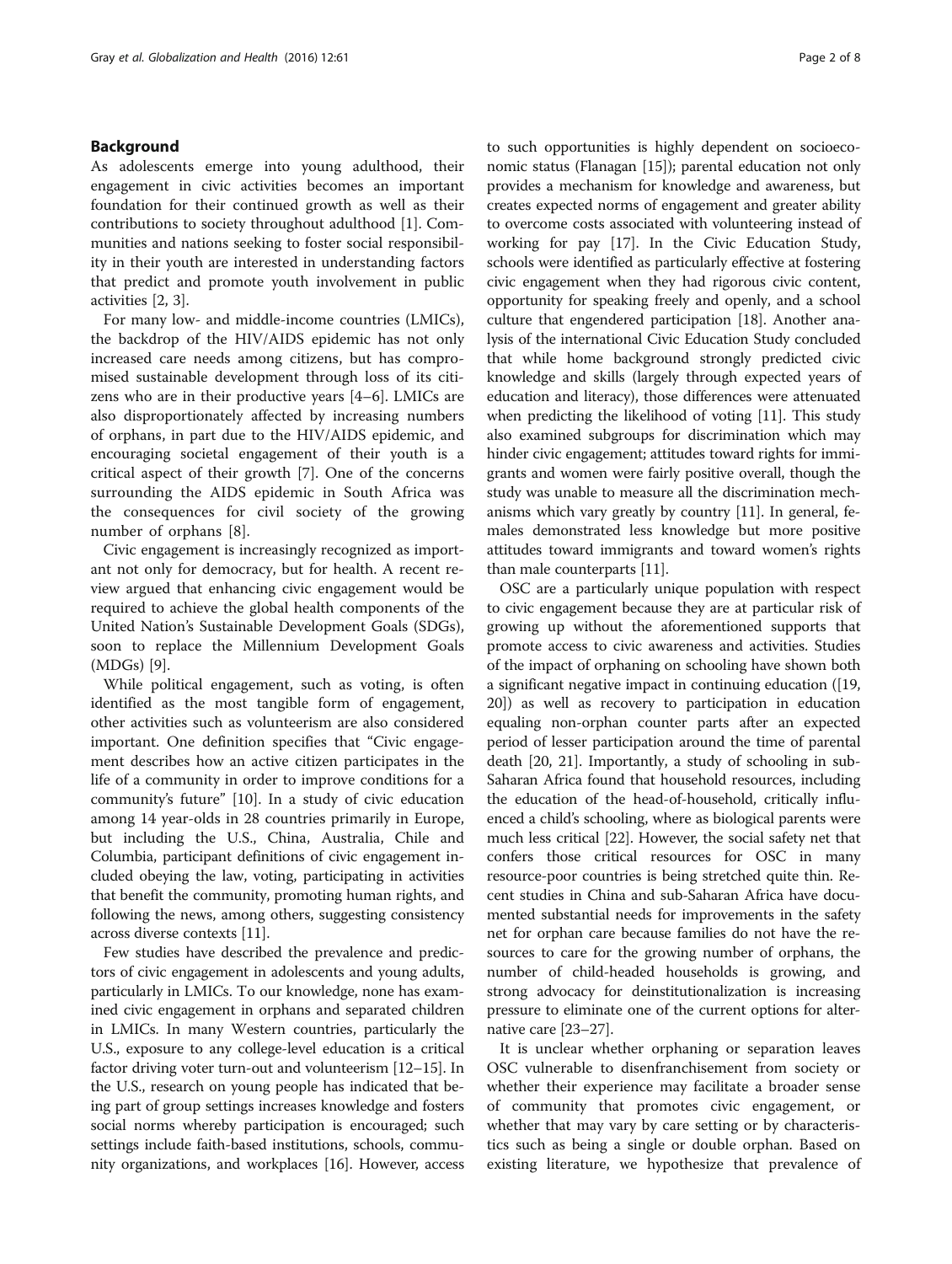## Background

As adolescents emerge into young adulthood, their engagement in civic activities becomes an important foundation for their continued growth as well as their contributions to society throughout adulthood [[1\]](#page-7-0). Communities and nations seeking to foster social responsibility in their youth are interested in understanding factors that predict and promote youth involvement in public activities [\[2](#page-7-0), [3](#page-7-0)].

For many low- and middle-income countries (LMICs), the backdrop of the HIV/AIDS epidemic has not only increased care needs among citizens, but has compromised sustainable development through loss of its citizens who are in their productive years [[4](#page-7-0)–[6\]](#page-7-0). LMICs are also disproportionately affected by increasing numbers of orphans, in part due to the HIV/AIDS epidemic, and encouraging societal engagement of their youth is a critical aspect of their growth [\[7](#page-7-0)]. One of the concerns surrounding the AIDS epidemic in South Africa was the consequences for civil society of the growing number of orphans [[8](#page-7-0)].

Civic engagement is increasingly recognized as important not only for democracy, but for health. A recent review argued that enhancing civic engagement would be required to achieve the global health components of the United Nation's Sustainable Development Goals (SDGs), soon to replace the Millennium Development Goals (MDGs) [\[9](#page-7-0)].

While political engagement, such as voting, is often identified as the most tangible form of engagement, other activities such as volunteerism are also considered important. One definition specifies that "Civic engagement describes how an active citizen participates in the life of a community in order to improve conditions for a community's future" [[10](#page-7-0)]. In a study of civic education among 14 year-olds in 28 countries primarily in Europe, but including the U.S., China, Australia, Chile and Columbia, participant definitions of civic engagement included obeying the law, voting, participating in activities that benefit the community, promoting human rights, and following the news, among others, suggesting consistency across diverse contexts [\[11\]](#page-7-0).

Few studies have described the prevalence and predictors of civic engagement in adolescents and young adults, particularly in LMICs. To our knowledge, none has examined civic engagement in orphans and separated children in LMICs. In many Western countries, particularly the U.S., exposure to any college-level education is a critical factor driving voter turn-out and volunteerism [[12](#page-7-0)–[15\]](#page-7-0). In the U.S., research on young people has indicated that being part of group settings increases knowledge and fosters social norms whereby participation is encouraged; such settings include faith-based institutions, schools, community organizations, and workplaces [[16](#page-7-0)]. However, access

to such opportunities is highly dependent on socioeconomic status (Flanagan [[15\]](#page-7-0)); parental education not only provides a mechanism for knowledge and awareness, but creates expected norms of engagement and greater ability to overcome costs associated with volunteering instead of working for pay [\[17\]](#page-7-0). In the Civic Education Study, schools were identified as particularly effective at fostering civic engagement when they had rigorous civic content, opportunity for speaking freely and openly, and a school culture that engendered participation [[18](#page-7-0)]. Another analysis of the international Civic Education Study concluded that while home background strongly predicted civic knowledge and skills (largely through expected years of education and literacy), those differences were attenuated when predicting the likelihood of voting [\[11\]](#page-7-0). This study also examined subgroups for discrimination which may hinder civic engagement; attitudes toward rights for immigrants and women were fairly positive overall, though the study was unable to measure all the discrimination mechanisms which vary greatly by country [\[11\]](#page-7-0). In general, females demonstrated less knowledge but more positive attitudes toward immigrants and toward women's rights than male counterparts [[11](#page-7-0)].

OSC are a particularly unique population with respect to civic engagement because they are at particular risk of growing up without the aforementioned supports that promote access to civic awareness and activities. Studies of the impact of orphaning on schooling have shown both a significant negative impact in continuing education ([[19](#page-7-0), [20](#page-7-0)]) as well as recovery to participation in education equaling non-orphan counter parts after an expected period of lesser participation around the time of parental death [[20](#page-7-0), [21](#page-7-0)]. Importantly, a study of schooling in sub-Saharan Africa found that household resources, including the education of the head-of-household, critically influenced a child's schooling, where as biological parents were much less critical [\[22](#page-7-0)]. However, the social safety net that confers those critical resources for OSC in many resource-poor countries is being stretched quite thin. Recent studies in China and sub-Saharan Africa have documented substantial needs for improvements in the safety net for orphan care because families do not have the resources to care for the growing number of orphans, the number of child-headed households is growing, and strong advocacy for deinstitutionalization is increasing pressure to eliminate one of the current options for alternative care [[23](#page-7-0)–[27\]](#page-7-0).

It is unclear whether orphaning or separation leaves OSC vulnerable to disenfranchisement from society or whether their experience may facilitate a broader sense of community that promotes civic engagement, or whether that may vary by care setting or by characteristics such as being a single or double orphan. Based on existing literature, we hypothesize that prevalence of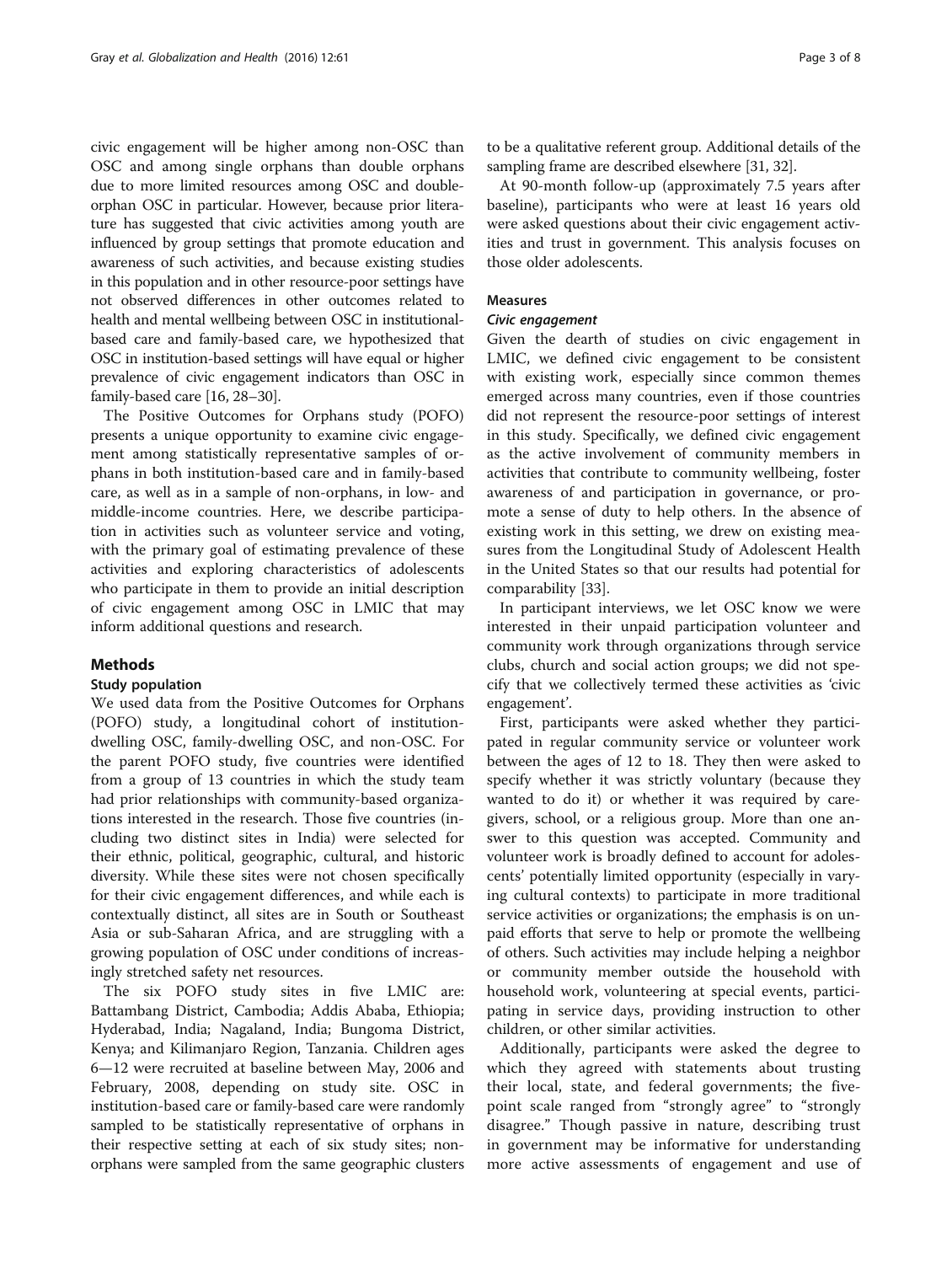civic engagement will be higher among non-OSC than OSC and among single orphans than double orphans due to more limited resources among OSC and doubleorphan OSC in particular. However, because prior literature has suggested that civic activities among youth are influenced by group settings that promote education and awareness of such activities, and because existing studies in this population and in other resource-poor settings have not observed differences in other outcomes related to health and mental wellbeing between OSC in institutionalbased care and family-based care, we hypothesized that OSC in institution-based settings will have equal or higher prevalence of civic engagement indicators than OSC in family-based care [[16](#page-7-0), [28](#page-7-0)–[30\]](#page-7-0).

The Positive Outcomes for Orphans study (POFO) presents a unique opportunity to examine civic engagement among statistically representative samples of orphans in both institution-based care and in family-based care, as well as in a sample of non-orphans, in low- and middle-income countries. Here, we describe participation in activities such as volunteer service and voting, with the primary goal of estimating prevalence of these activities and exploring characteristics of adolescents who participate in them to provide an initial description of civic engagement among OSC in LMIC that may inform additional questions and research.

### Methods

### Study population

We used data from the Positive Outcomes for Orphans (POFO) study, a longitudinal cohort of institutiondwelling OSC, family-dwelling OSC, and non-OSC. For the parent POFO study, five countries were identified from a group of 13 countries in which the study team had prior relationships with community-based organizations interested in the research. Those five countries (including two distinct sites in India) were selected for their ethnic, political, geographic, cultural, and historic diversity. While these sites were not chosen specifically for their civic engagement differences, and while each is contextually distinct, all sites are in South or Southeast Asia or sub-Saharan Africa, and are struggling with a growing population of OSC under conditions of increasingly stretched safety net resources.

The six POFO study sites in five LMIC are: Battambang District, Cambodia; Addis Ababa, Ethiopia; Hyderabad, India; Nagaland, India; Bungoma District, Kenya; and Kilimanjaro Region, Tanzania. Children ages 6—12 were recruited at baseline between May, 2006 and February, 2008, depending on study site. OSC in institution-based care or family-based care were randomly sampled to be statistically representative of orphans in their respective setting at each of six study sites; nonorphans were sampled from the same geographic clusters

to be a qualitative referent group. Additional details of the sampling frame are described elsewhere [\[31](#page-7-0), [32](#page-7-0)].

At 90-month follow-up (approximately 7.5 years after baseline), participants who were at least 16 years old were asked questions about their civic engagement activities and trust in government. This analysis focuses on those older adolescents.

# Measures

Given the dearth of studies on civic engagement in LMIC, we defined civic engagement to be consistent with existing work, especially since common themes emerged across many countries, even if those countries did not represent the resource-poor settings of interest in this study. Specifically, we defined civic engagement as the active involvement of community members in activities that contribute to community wellbeing, foster awareness of and participation in governance, or promote a sense of duty to help others. In the absence of existing work in this setting, we drew on existing measures from the Longitudinal Study of Adolescent Health in the United States so that our results had potential for comparability [[33](#page-7-0)].

In participant interviews, we let OSC know we were interested in their unpaid participation volunteer and community work through organizations through service clubs, church and social action groups; we did not specify that we collectively termed these activities as 'civic engagement'.

First, participants were asked whether they participated in regular community service or volunteer work between the ages of 12 to 18. They then were asked to specify whether it was strictly voluntary (because they wanted to do it) or whether it was required by caregivers, school, or a religious group. More than one answer to this question was accepted. Community and volunteer work is broadly defined to account for adolescents' potentially limited opportunity (especially in varying cultural contexts) to participate in more traditional service activities or organizations; the emphasis is on unpaid efforts that serve to help or promote the wellbeing of others. Such activities may include helping a neighbor or community member outside the household with household work, volunteering at special events, participating in service days, providing instruction to other children, or other similar activities.

Additionally, participants were asked the degree to which they agreed with statements about trusting their local, state, and federal governments; the fivepoint scale ranged from "strongly agree" to "strongly disagree." Though passive in nature, describing trust in government may be informative for understanding more active assessments of engagement and use of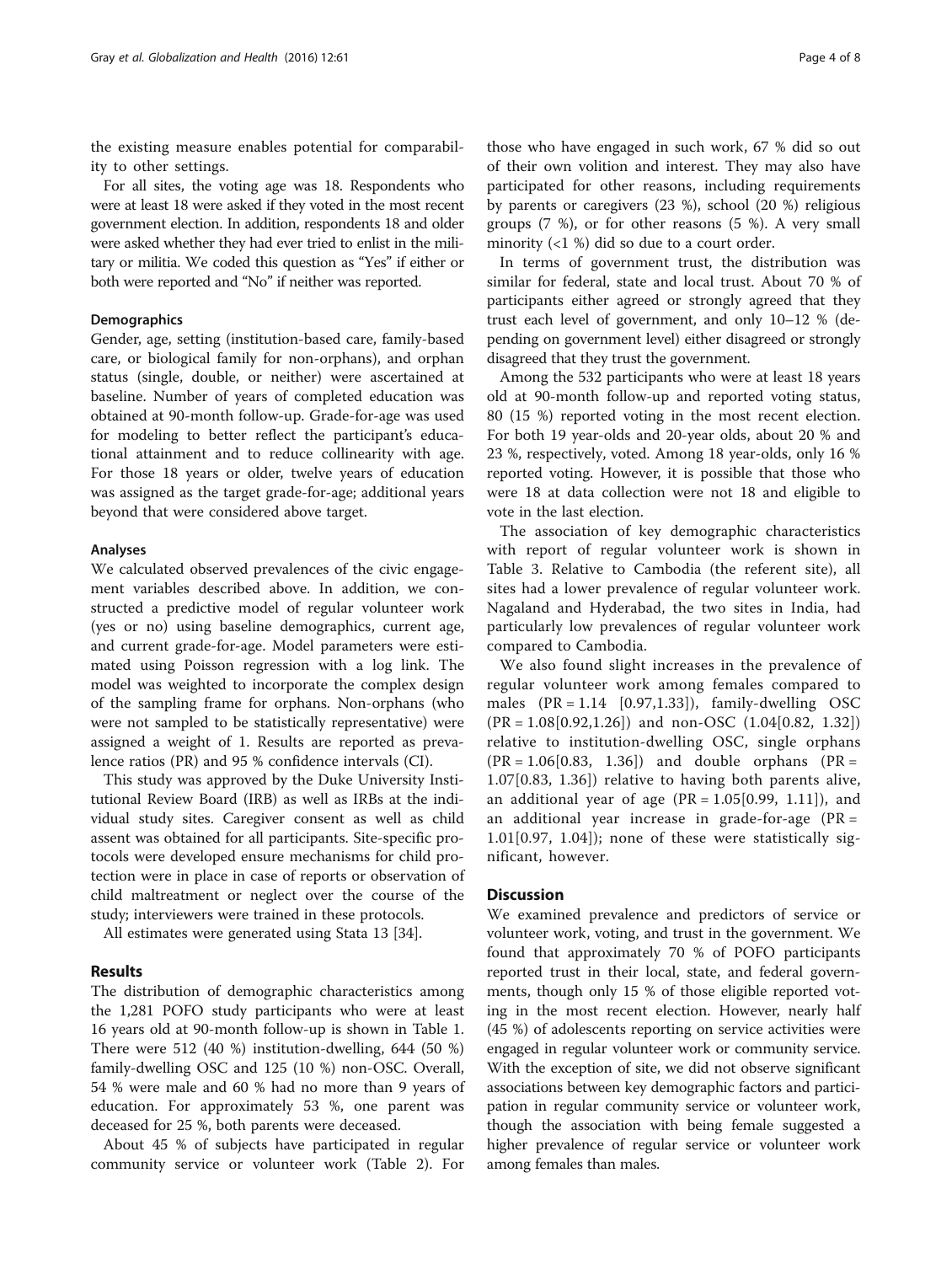the existing measure enables potential for comparability to other settings.

For all sites, the voting age was 18. Respondents who were at least 18 were asked if they voted in the most recent government election. In addition, respondents 18 and older were asked whether they had ever tried to enlist in the military or militia. We coded this question as "Yes" if either or both were reported and "No" if neither was reported.

# **Demographics**

Gender, age, setting (institution-based care, family-based care, or biological family for non-orphans), and orphan status (single, double, or neither) were ascertained at baseline. Number of years of completed education was obtained at 90-month follow-up. Grade-for-age was used for modeling to better reflect the participant's educational attainment and to reduce collinearity with age. For those 18 years or older, twelve years of education was assigned as the target grade-for-age; additional years beyond that were considered above target.

#### Analyses

We calculated observed prevalences of the civic engagement variables described above. In addition, we constructed a predictive model of regular volunteer work (yes or no) using baseline demographics, current age, and current grade-for-age. Model parameters were estimated using Poisson regression with a log link. The model was weighted to incorporate the complex design of the sampling frame for orphans. Non-orphans (who were not sampled to be statistically representative) were assigned a weight of 1. Results are reported as prevalence ratios (PR) and 95 % confidence intervals (CI).

This study was approved by the Duke University Institutional Review Board (IRB) as well as IRBs at the individual study sites. Caregiver consent as well as child assent was obtained for all participants. Site-specific protocols were developed ensure mechanisms for child protection were in place in case of reports or observation of child maltreatment or neglect over the course of the study; interviewers were trained in these protocols.

All estimates were generated using Stata 13 [\[34](#page-7-0)].

### Results

The distribution of demographic characteristics among the 1,281 POFO study participants who were at least 16 years old at 90-month follow-up is shown in Table [1](#page-4-0). There were 512 (40 %) institution-dwelling, 644 (50 %) family-dwelling OSC and 125 (10 %) non-OSC. Overall, 54 % were male and 60 % had no more than 9 years of education. For approximately 53 %, one parent was deceased for 25 %, both parents were deceased.

About 45 % of subjects have participated in regular community service or volunteer work (Table [2](#page-5-0)). For

those who have engaged in such work, 67 % did so out of their own volition and interest. They may also have participated for other reasons, including requirements by parents or caregivers (23 %), school (20 %) religious groups (7 %), or for other reasons (5 %). A very small minority  $(1 % )$  did so due to a court order.

In terms of government trust, the distribution was similar for federal, state and local trust. About 70 % of participants either agreed or strongly agreed that they trust each level of government, and only 10–12 % (depending on government level) either disagreed or strongly disagreed that they trust the government.

Among the 532 participants who were at least 18 years old at 90-month follow-up and reported voting status, 80 (15 %) reported voting in the most recent election. For both 19 year-olds and 20-year olds, about 20 % and 23 %, respectively, voted. Among 18 year-olds, only 16 % reported voting. However, it is possible that those who were 18 at data collection were not 18 and eligible to vote in the last election.

The association of key demographic characteristics with report of regular volunteer work is shown in Table [3](#page-5-0). Relative to Cambodia (the referent site), all sites had a lower prevalence of regular volunteer work. Nagaland and Hyderabad, the two sites in India, had particularly low prevalences of regular volunteer work compared to Cambodia.

We also found slight increases in the prevalence of regular volunteer work among females compared to males  $(PR = 1.14 [0.97, 1.33])$ , family-dwelling OSC  $(PR = 1.08[0.92, 1.26])$  and non-OSC  $(1.04[0.82, 1.32])$ relative to institution-dwelling OSC, single orphans  $(PR = 1.06[0.83, 1.36])$  and double orphans  $(PR = 1.06[0.83, 1.36])$ 1.07[0.83, 1.36]) relative to having both parents alive, an additional year of age  $(PR = 1.05[0.99, 1.11])$ , and an additional year increase in grade-for-age (PR = 1.01[0.97, 1.04]); none of these were statistically significant, however.

# **Discussion**

We examined prevalence and predictors of service or volunteer work, voting, and trust in the government. We found that approximately 70 % of POFO participants reported trust in their local, state, and federal governments, though only 15 % of those eligible reported voting in the most recent election. However, nearly half (45 %) of adolescents reporting on service activities were engaged in regular volunteer work or community service. With the exception of site, we did not observe significant associations between key demographic factors and participation in regular community service or volunteer work, though the association with being female suggested a higher prevalence of regular service or volunteer work among females than males.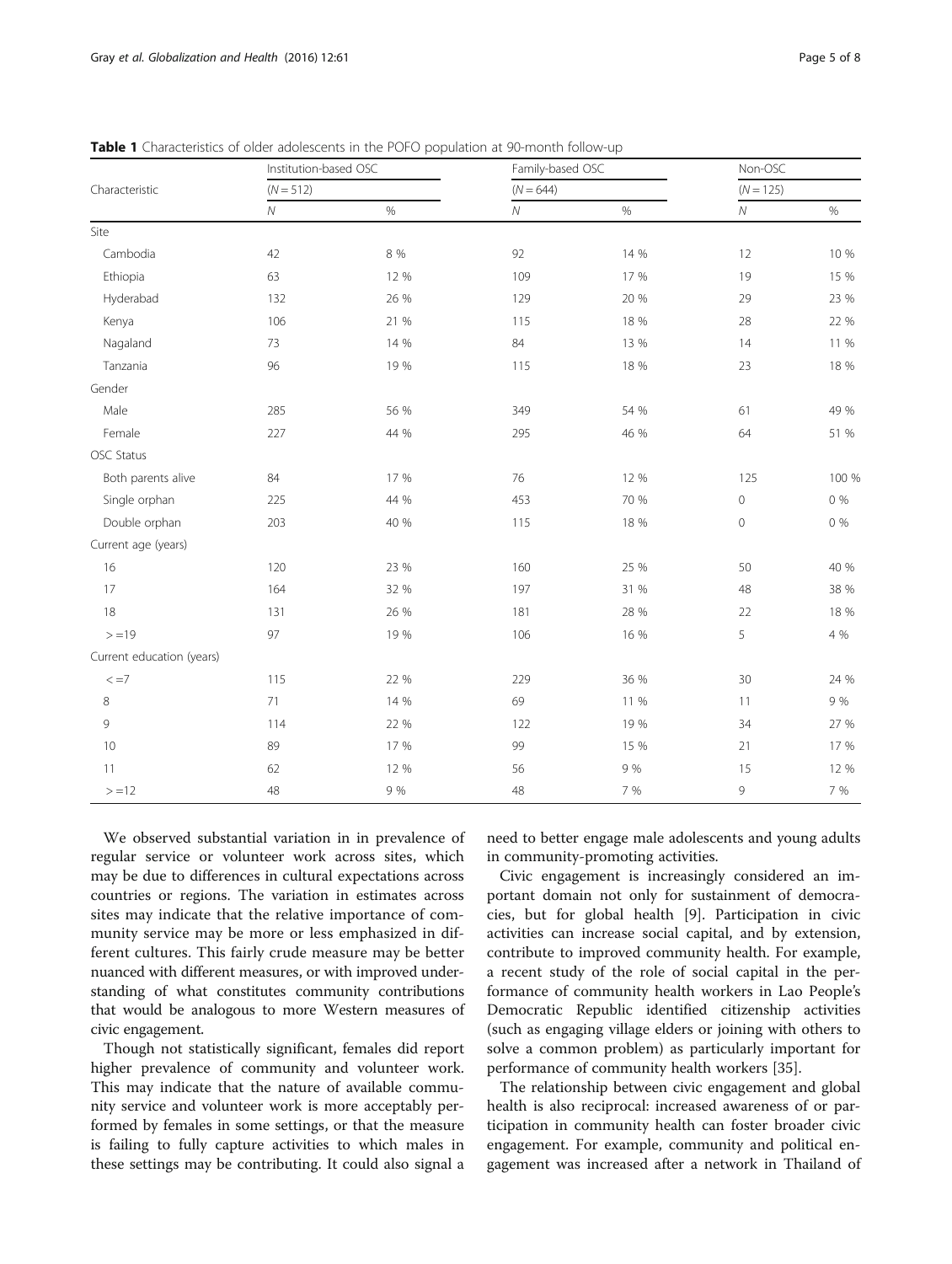| Characteristic            | Institution-based OSC<br>$(N = 512)$ |         | Family-based OSC<br>$(N = 644)$ |      | Non-OSC<br>$(N = 125)$ |         |
|---------------------------|--------------------------------------|---------|---------------------------------|------|------------------------|---------|
|                           |                                      |         |                                 |      |                        |         |
|                           | Site                                 |         |                                 |      |                        |         |
| Cambodia                  | 42                                   | $8\ \%$ | 92                              | 14 % | 12                     | 10 %    |
| Ethiopia                  | 63                                   | 12 %    | 109                             | 17 % | 19                     | 15 %    |
| Hyderabad                 | 132                                  | 26 %    | 129                             | 20 % | 29                     | 23 %    |
| Kenya                     | 106                                  | 21 %    | 115                             | 18 % | 28                     | 22 %    |
| Nagaland                  | 73                                   | 14 %    | 84                              | 13 % | 14                     | 11 %    |
| Tanzania                  | 96                                   | 19 %    | 115                             | 18 % | 23                     | 18 %    |
| Gender                    |                                      |         |                                 |      |                        |         |
| Male                      | 285                                  | 56 %    | 349                             | 54 % | 61                     | 49 %    |
| Female                    | 227                                  | 44 %    | 295                             | 46 % | 64                     | 51 %    |
| OSC Status                |                                      |         |                                 |      |                        |         |
| Both parents alive        | 84                                   | 17 %    | 76                              | 12 % | 125                    | 100 %   |
| Single orphan             | 225                                  | 44 %    | 453                             | 70 % | $\mathsf{O}\xspace$    | $0\%$   |
| Double orphan             | 203                                  | 40 %    | 115                             | 18 % | $\mathbf 0$            | $0\ \%$ |
| Current age (years)       |                                      |         |                                 |      |                        |         |
| 16                        | 120                                  | 23 %    | 160                             | 25 % | 50                     | 40 %    |
| 17                        | 164                                  | 32 %    | 197                             | 31 % | 48                     | 38 %    |
| 18                        | 131                                  | 26 %    | 181                             | 28 % | 22                     | 18 %    |
| $> = 19$                  | 97                                   | 19 %    | 106                             | 16 % | 5                      | 4 %     |
| Current education (years) |                                      |         |                                 |      |                        |         |
| $\lt = 7$                 | 115                                  | 22 %    | 229                             | 36 % | 30                     | 24 %    |
| $\,8\,$                   | 71                                   | 14 %    | 69                              | 11 % | 11                     | 9 %     |
| $\overline{9}$            | 114                                  | 22 %    | 122                             | 19 % | 34                     | 27 %    |
| 10                        | 89                                   | 17 %    | 99                              | 15 % | 21                     | 17 %    |
| 11                        | 62                                   | 12 %    | 56                              | 9%   | 15                     | 12 %    |
| $> = 12$                  | 48                                   | 9%      | $48\,$                          | 7 %  | $\mathsf 9$            | 7 %     |

<span id="page-4-0"></span>Table 1 Characteristics of older adolescents in the POFO population at 90-month follow-up

We observed substantial variation in in prevalence of regular service or volunteer work across sites, which may be due to differences in cultural expectations across countries or regions. The variation in estimates across sites may indicate that the relative importance of community service may be more or less emphasized in different cultures. This fairly crude measure may be better nuanced with different measures, or with improved understanding of what constitutes community contributions that would be analogous to more Western measures of civic engagement.

Though not statistically significant, females did report higher prevalence of community and volunteer work. This may indicate that the nature of available community service and volunteer work is more acceptably performed by females in some settings, or that the measure is failing to fully capture activities to which males in these settings may be contributing. It could also signal a need to better engage male adolescents and young adults in community-promoting activities.

Civic engagement is increasingly considered an important domain not only for sustainment of democracies, but for global health [\[9](#page-7-0)]. Participation in civic activities can increase social capital, and by extension, contribute to improved community health. For example, a recent study of the role of social capital in the performance of community health workers in Lao People's Democratic Republic identified citizenship activities (such as engaging village elders or joining with others to solve a common problem) as particularly important for performance of community health workers [[35](#page-7-0)].

The relationship between civic engagement and global health is also reciprocal: increased awareness of or participation in community health can foster broader civic engagement. For example, community and political engagement was increased after a network in Thailand of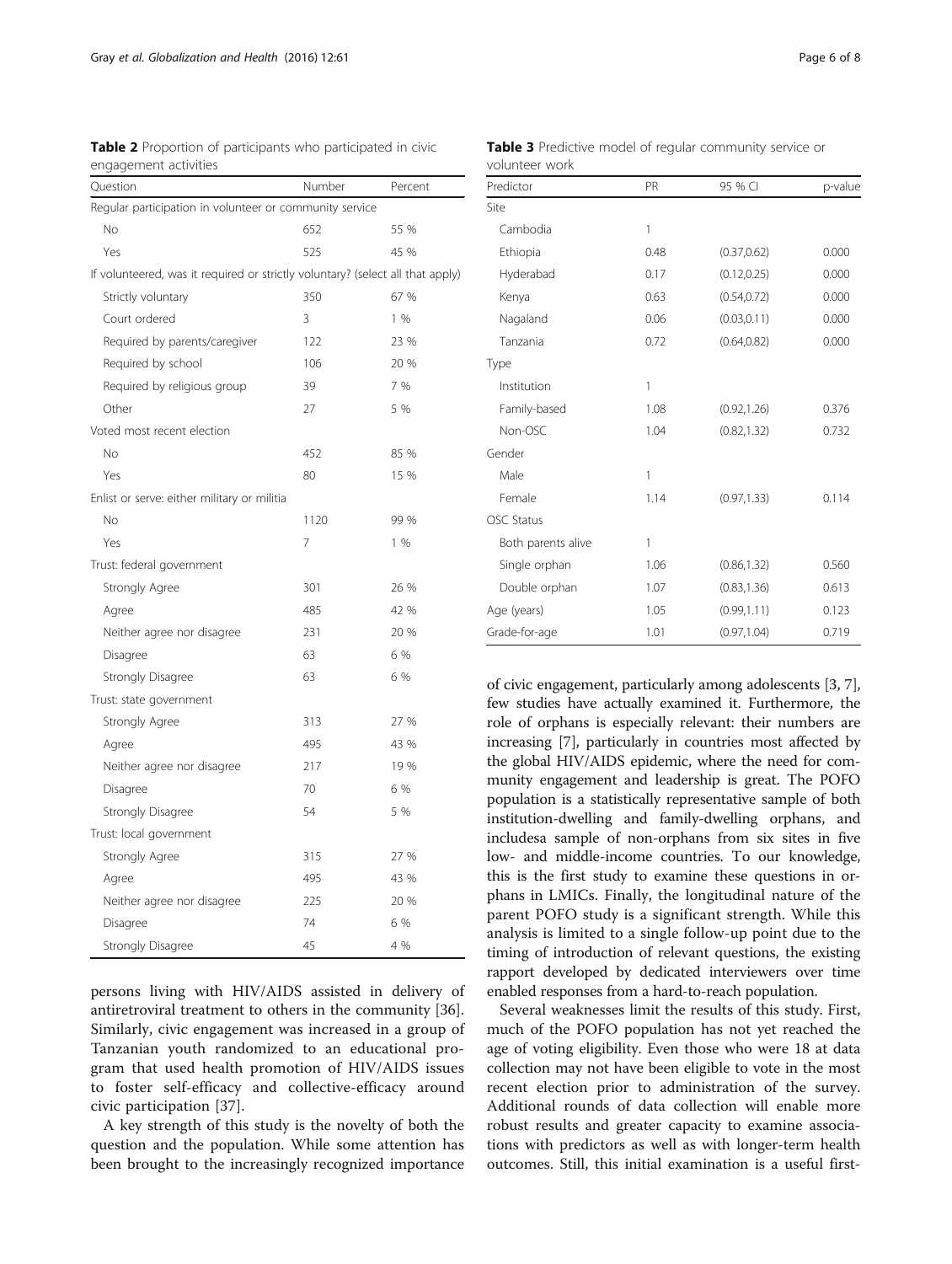| Question                                                                       | Number | Percent |
|--------------------------------------------------------------------------------|--------|---------|
| Regular participation in volunteer or community service                        |        |         |
| No                                                                             | 652    | 55 %    |
| Yes                                                                            | 525    | 45 %    |
| If volunteered, was it required or strictly voluntary? (select all that apply) |        |         |
| Strictly voluntary                                                             | 350    | 67 %    |
| Court ordered                                                                  | 3      | $1\%$   |
| Required by parents/caregiver                                                  | 122    | 23 %    |
| Required by school                                                             | 106    | 20 %    |
| Required by religious group                                                    | 39     | 7 %     |
| Other                                                                          | 27     | 5 %     |
| Voted most recent election                                                     |        |         |
| No                                                                             | 452    | 85 %    |
| Yes                                                                            | 80     | 15 %    |
| Enlist or serve: either military or militia                                    |        |         |
| No                                                                             | 1120   | 99 %    |
| Yes                                                                            | 7      | 1%      |
| Trust: federal government                                                      |        |         |
| Strongly Agree                                                                 | 301    | 26 %    |
| Agree                                                                          | 485    | 42 %    |
| Neither agree nor disagree                                                     | 231    | 20 %    |
| Disagree                                                                       | 63     | 6 %     |
| Strongly Disagree                                                              | 63     | 6 %     |
| Trust: state government                                                        |        |         |
| Strongly Agree                                                                 | 313    | 27 %    |
| Agree                                                                          | 495    | 43 %    |
| Neither agree nor disagree                                                     | 217    | 19 %    |
| Disagree                                                                       | 70     | 6 %     |
| Strongly Disagree                                                              | 54     | 5 %     |
| Trust: local government                                                        |        |         |
| Strongly Agree                                                                 | 315    | 27 %    |
| Agree                                                                          | 495    | 43 %    |
| Neither agree nor disagree                                                     | 225    | 20 %    |
| Disagree                                                                       | 74     | 6 %     |
| Strongly Disagree                                                              | 45     | 4 %     |

<span id="page-5-0"></span>Table 2 Proportion of participants who participated in civic engagement activities

persons living with HIV/AIDS assisted in delivery of antiretroviral treatment to others in the community [\[36](#page-7-0)]. Similarly, civic engagement was increased in a group of Tanzanian youth randomized to an educational program that used health promotion of HIV/AIDS issues to foster self-efficacy and collective-efficacy around civic participation [[37\]](#page-7-0).

A key strength of this study is the novelty of both the question and the population. While some attention has been brought to the increasingly recognized importance

| voiuriteer work    |      |              |         |
|--------------------|------|--------------|---------|
| Predictor          | PR   | 95 % CI      | p-value |
| Site               |      |              |         |
| Cambodia           | 1    |              |         |
| Ethiopia           | 0.48 | (0.37, 0.62) | 0.000   |
| Hyderabad          | 0.17 | (0.12, 0.25) | 0.000   |
| Kenya              | 0.63 | (0.54, 0.72) | 0.000   |
| Nagaland           | 0.06 | (0.03, 0.11) | 0.000   |
| Tanzania           | 0.72 | (0.64, 0.82) | 0.000   |
| Type               |      |              |         |
| Institution        | 1    |              |         |
| Family-based       | 1.08 | (0.92, 1.26) | 0.376   |
| Non-OSC            | 1.04 | (0.82, 1.32) | 0.732   |
| Gender             |      |              |         |
| Male               | 1    |              |         |
| Female             | 1.14 | (0.97, 1.33) | 0.114   |
| <b>OSC Status</b>  |      |              |         |
| Both parents alive | 1    |              |         |
| Single orphan      | 1.06 | (0.86, 1.32) | 0.560   |
| Double orphan      | 1.07 | (0.83, 1.36) | 0.613   |
| Age (years)        | 1.05 | (0.99, 1.11) | 0.123   |
| Grade-for-age      | 1.01 | (0.97.1.04)  | 0.719   |

of civic engagement, particularly among adolescents [[3, 7](#page-7-0)], few studies have actually examined it. Furthermore, the role of orphans is especially relevant: their numbers are increasing [[7](#page-7-0)], particularly in countries most affected by the global HIV/AIDS epidemic, where the need for community engagement and leadership is great. The POFO population is a statistically representative sample of both institution-dwelling and family-dwelling orphans, and includesa sample of non-orphans from six sites in five low- and middle-income countries. To our knowledge, this is the first study to examine these questions in orphans in LMICs. Finally, the longitudinal nature of the parent POFO study is a significant strength. While this analysis is limited to a single follow-up point due to the timing of introduction of relevant questions, the existing rapport developed by dedicated interviewers over time enabled responses from a hard-to-reach population.

Several weaknesses limit the results of this study. First, much of the POFO population has not yet reached the age of voting eligibility. Even those who were 18 at data collection may not have been eligible to vote in the most recent election prior to administration of the survey. Additional rounds of data collection will enable more robust results and greater capacity to examine associations with predictors as well as with longer-term health outcomes. Still, this initial examination is a useful first-

|                | Table 3 Predictive model of regular community service or |  |  |  |  |
|----------------|----------------------------------------------------------|--|--|--|--|
| volunteer work |                                                          |  |  |  |  |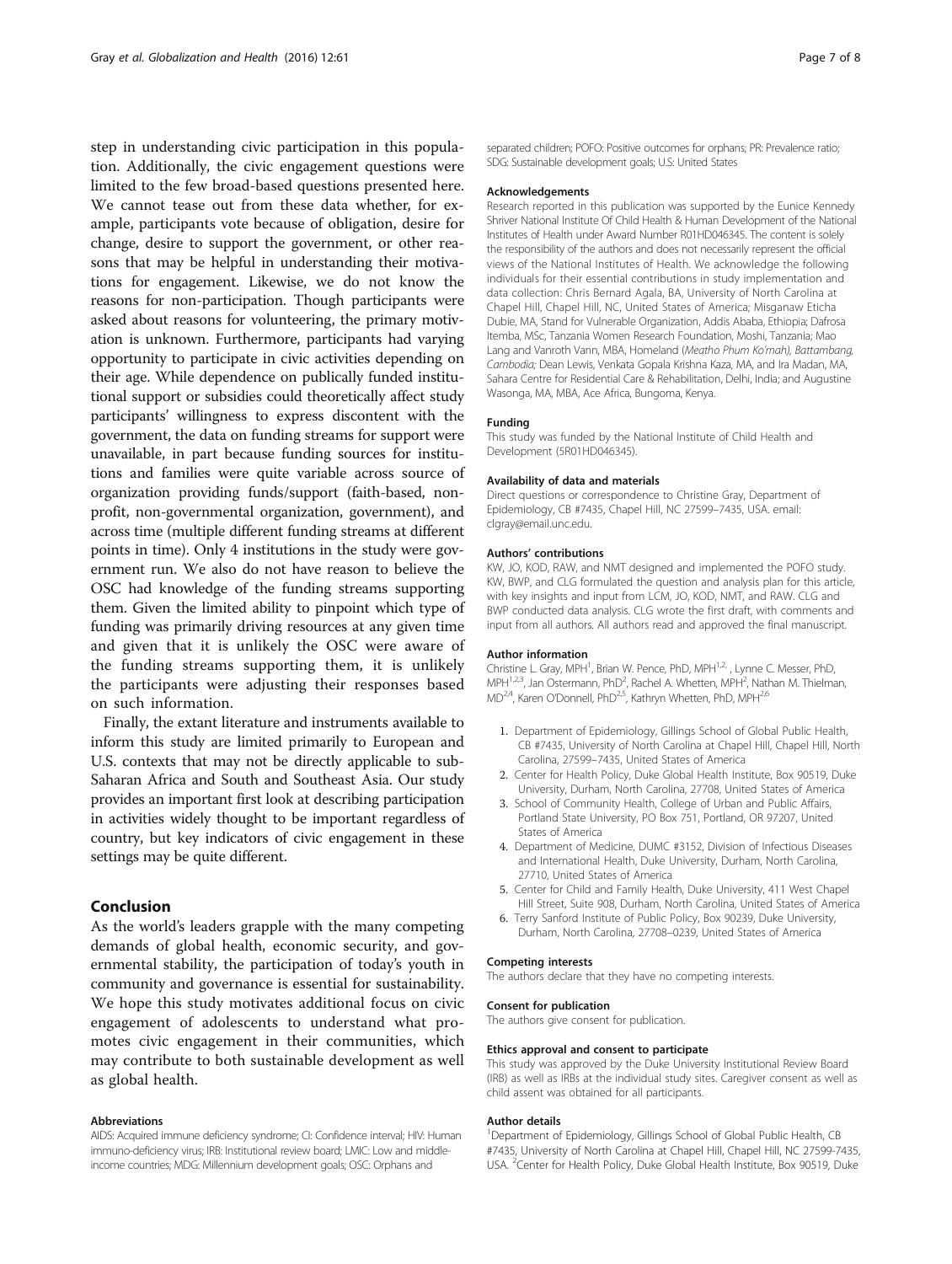step in understanding civic participation in this population. Additionally, the civic engagement questions were limited to the few broad-based questions presented here. We cannot tease out from these data whether, for example, participants vote because of obligation, desire for change, desire to support the government, or other reasons that may be helpful in understanding their motivations for engagement. Likewise, we do not know the reasons for non-participation. Though participants were asked about reasons for volunteering, the primary motivation is unknown. Furthermore, participants had varying opportunity to participate in civic activities depending on their age. While dependence on publically funded institutional support or subsidies could theoretically affect study participants' willingness to express discontent with the government, the data on funding streams for support were unavailable, in part because funding sources for institutions and families were quite variable across source of organization providing funds/support (faith-based, nonprofit, non-governmental organization, government), and across time (multiple different funding streams at different points in time). Only 4 institutions in the study were government run. We also do not have reason to believe the OSC had knowledge of the funding streams supporting them. Given the limited ability to pinpoint which type of funding was primarily driving resources at any given time and given that it is unlikely the OSC were aware of the funding streams supporting them, it is unlikely the participants were adjusting their responses based on such information.

Finally, the extant literature and instruments available to inform this study are limited primarily to European and U.S. contexts that may not be directly applicable to sub-Saharan Africa and South and Southeast Asia. Our study provides an important first look at describing participation in activities widely thought to be important regardless of country, but key indicators of civic engagement in these settings may be quite different.

#### Conclusion

As the world's leaders grapple with the many competing demands of global health, economic security, and governmental stability, the participation of today's youth in community and governance is essential for sustainability. We hope this study motivates additional focus on civic engagement of adolescents to understand what promotes civic engagement in their communities, which may contribute to both sustainable development as well as global health.

#### Abbreviations

AIDS: Acquired immune deficiency syndrome; CI: Confidence interval; HIV: Human immuno-deficiency virus; IRB: Institutional review board; LMIC: Low and middleincome countries; MDG: Millennium development goals; OSC: Orphans and

separated children; POFO: Positive outcomes for orphans; PR: Prevalence ratio; SDG: Sustainable development goals; U.S: United States

#### Acknowledgements

Research reported in this publication was supported by the Eunice Kennedy Shriver National Institute Of Child Health & Human Development of the National Institutes of Health under Award Number R01HD046345. The content is solely the responsibility of the authors and does not necessarily represent the official views of the National Institutes of Health. We acknowledge the following individuals for their essential contributions in study implementation and data collection: Chris Bernard Agala, BA, University of North Carolina at Chapel Hill, Chapel Hill, NC, United States of America; Misganaw Eticha Dubie, MA, Stand for Vulnerable Organization, Addis Ababa, Ethiopia; Dafrosa Itemba, MSc, Tanzania Women Research Foundation, Moshi, Tanzania; Mao Lang and Vanroth Vann, MBA, Homeland (Meatho Phum Ko'mah), Battambang, Cambodia; Dean Lewis, Venkata Gopala Krishna Kaza, MA, and Ira Madan, MA, Sahara Centre for Residential Care & Rehabilitation, Delhi, India; and Augustine Wasonga, MA, MBA, Ace Africa, Bungoma, Kenya.

#### Funding

This study was funded by the National Institute of Child Health and Development (5R01HD046345).

#### Availability of data and materials

Direct questions or correspondence to Christine Gray, Department of Epidemiology, CB #7435, Chapel Hill, NC 27599–7435, USA. email: clgray@email.unc.edu.

#### Authors' contributions

KW, JO, KOD, RAW, and NMT designed and implemented the POFO study. KW, BWP, and CLG formulated the question and analysis plan for this article, with key insights and input from LCM, JO, KOD, NMT, and RAW. CLG and BWP conducted data analysis. CLG wrote the first draft, with comments and input from all authors. All authors read and approved the final manuscript.

#### Author information

Christine L. Gray, MPH<sup>1</sup>, Brian W. Pence, PhD, MPH<sup>1,2,</sup>, Lynne C. Messer, PhD, MPH<sup>1,2,3</sup>, Jan Ostermann, PhD<sup>2</sup>, Rachel A. Whetten, MPH<sup>2</sup>, Nathan M. Thielman<br>MD<sup>2,4</sup>, Karen O'Donnell, PhD<sup>2,5</sup>, Kathryn Whetten, PhD, MPH<sup>2,6</sup>

- 1. Department of Epidemiology, Gillings School of Global Public Health, CB #7435, University of North Carolina at Chapel Hill, Chapel Hill, North Carolina, 27599–7435, United States of America
- 2. Center for Health Policy, Duke Global Health Institute, Box 90519, Duke University, Durham, North Carolina, 27708, United States of America
- 3. School of Community Health, College of Urban and Public Affairs, Portland State University, PO Box 751, Portland, OR 97207, United States of America
- 4. Department of Medicine, DUMC #3152, Division of Infectious Diseases and International Health, Duke University, Durham, North Carolina, 27710, United States of America
- 5. Center for Child and Family Health, Duke University, 411 West Chapel Hill Street, Suite 908, Durham, North Carolina, United States of America
- 6. Terry Sanford Institute of Public Policy, Box 90239, Duke University, Durham, North Carolina, 27708–0239, United States of America

#### Competing interests

The authors declare that they have no competing interests.

#### Consent for publication

The authors give consent for publication.

#### Ethics approval and consent to participate

This study was approved by the Duke University Institutional Review Board (IRB) as well as IRBs at the individual study sites. Caregiver consent as well as child assent was obtained for all participants.

#### Author details

<sup>1</sup>Department of Epidemiology, Gillings School of Global Public Health, CB #7435, University of North Carolina at Chapel Hill, Chapel Hill, NC 27599-7435, USA. <sup>2</sup> Center for Health Policy, Duke Global Health Institute, Box 90519, Duke